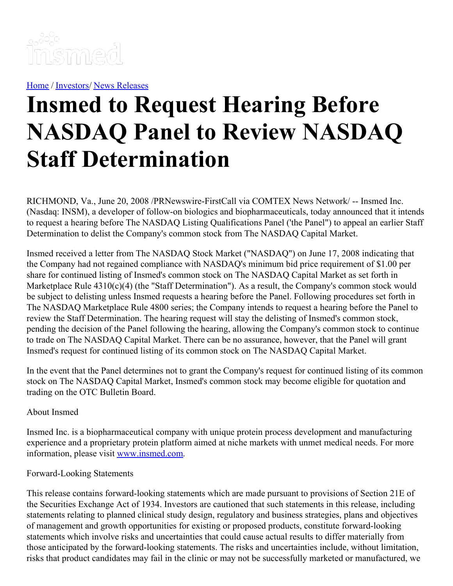

[Home](https://insmed.com/) / [Investors](https://investor.insmed.com/index)/ News [Releases](https://investor.insmed.com/releases)

## **Insmed to Request Hearing Before NASDAQ Panel to Review NASDAQ Staff Determination**

RICHMOND, Va., June 20, 2008 /PRNewswire-FirstCall via COMTEX News Network/ -- Insmed Inc. (Nasdaq: INSM), a developer of follow-on biologics and biopharmaceuticals, today announced that it intends to request a hearing before The NASDAQ Listing Qualifications Panel ('the Panel") to appeal an earlier Staff Determination to delist the Company's common stock from The NASDAQ Capital Market.

Insmed received a letter from The NASDAQ Stock Market ("NASDAQ") on June 17, 2008 indicating that the Company had not regained compliance with NASDAQ's minimum bid price requirement of \$1.00 per share for continued listing of Insmed's common stock on The NASDAQ Capital Market as set forth in Marketplace Rule 4310(c)(4) (the "Staff Determination"). As a result, the Company's common stock would be subject to delisting unless Insmed requests a hearing before the Panel. Following procedures set forth in The NASDAQ Marketplace Rule 4800 series; the Company intends to request a hearing before the Panel to review the Staff Determination. The hearing request will stay the delisting of Insmed's common stock, pending the decision of the Panel following the hearing, allowing the Company's common stock to continue to trade on The NASDAQ Capital Market. There can be no assurance, however, that the Panel will grant Insmed's request for continued listing of its common stock on The NASDAQ Capital Market.

In the event that the Panel determines not to grant the Company's request for continued listing of its common stock on The NASDAQ Capital Market, Insmed's common stock may become eligible for quotation and trading on the OTC Bulletin Board.

## About Insmed

Insmed Inc. is a biopharmaceutical company with unique protein process development and manufacturing experience and a proprietary protein platform aimed at niche markets with unmet medical needs. For more information, please visit [www.insmed.com](http://www.insmed.com/).

## Forward-Looking Statements

This release contains forward-looking statements which are made pursuant to provisions of Section 21E of the Securities Exchange Act of 1934. Investors are cautioned that such statements in this release, including statements relating to planned clinical study design, regulatory and business strategies, plans and objectives of management and growth opportunities for existing or proposed products, constitute forward-looking statements which involve risks and uncertainties that could cause actual results to differ materially from those anticipated by the forward-looking statements. The risks and uncertainties include, without limitation, risks that product candidates may fail in the clinic or may not be successfully marketed or manufactured, we